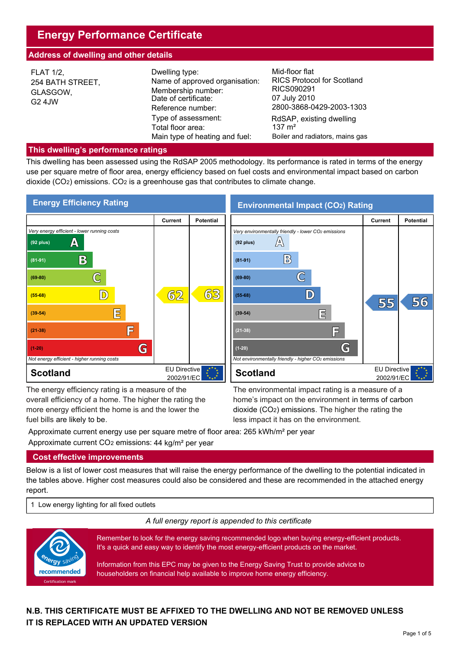# **Energy Performance Certificate**

## **Address of dwelling and other details**

| <b>FLAT 1/2,</b><br>254 BATH STREET,<br>GLASGOW,<br>G2 4JW | Dwelling type:<br>Name of approved organisation:<br>Membership number:<br>Date of certificate:<br>Reference number: | Mid-floor flat<br><b>RICS Protocol for Scotland</b><br>RICS090291<br>07 July 2010<br>2800-3868-0429-2003-1303 |
|------------------------------------------------------------|---------------------------------------------------------------------------------------------------------------------|---------------------------------------------------------------------------------------------------------------|
|                                                            | Type of assessment:<br>Total floor area:<br>Main type of heating and fuel:                                          | RdSAP, existing dwelling<br>$137 \text{ m}^2$<br>Boiler and radiators, mains gas                              |

#### **This dwelling's performance ratings**

This dwelling has been assessed using the RdSAP 2005 methodology. Its performance is rated in terms of the energy use per square metre of floor area, energy efficiency based on fuel costs and environmental impact based on carbon dioxide (CO2) emissions. CO2 is a greenhouse gas that contributes to climate change.



The energy efficiency rating is a measure of the overall efficiency of a home. The higher the rating the more energy efficient the home is and the lower the

The energy efficiency rating is a measure of the The environmental impact rating is a measure of a<br>overall efficiency of a home. The higher the rating the home's impact on the environment in terms of carbon<br>more energy eff home's impact on the environment in terms of carbon dioxide (CO2) emissions. The higher the rating the less impact it has on the environment.

Approximate current energy use per square metre of floor area: 265 kWh/m² per year Approximate current CO2 emissions: 44 kg/m² per year

## **Cost effective improvements**

Below is a list of lower cost measures that will raise the energy performance of the dwelling to the potential indicated in the tables above. Higher cost measures could also be considered and these are recommended in the attached energy report.

1 Low energy lighting for all fixed outlets

*A full energy report is appended to this certificate*



Remember to look for the energy saving recommended logo when buying energy-efficient products. It's a quick and easy way to identify the most energy-efficient products on the market.

Information from this EPC may be given to the Energy Saving Trust to provide advice to householders on financial help available to improve home energy efficiency.

# **N.B. THIS CERTIFICATE MUST BE AFFIXED TO THE DWELLING AND NOT BE REMOVED UNLESS IT IS REPLACED WITH AN UPDATED VERSION**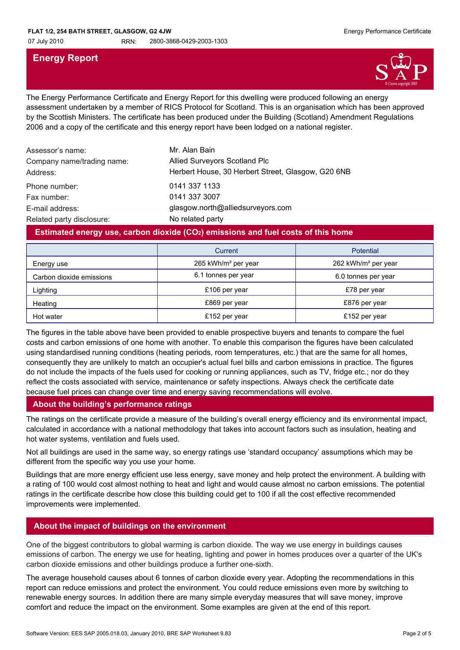# **Energy Report**



The Energy Performance Certificate and Energy Report for this dwelling were produced following an energy assessment undertaken by a member of RICS Protocol for Scotland. This is an organisation which has been approved by the Scottish Ministers. The certificate has been produced under the Building (Scotland) Amendment Regulations 2006 and a copy of the certificate and this energy report have been lodged on a national register.

| Assessor's name:<br>Company name/trading name:<br>Address: | Mr. Alan Bain<br>Allied Surveyors Scotland Plc<br>Herbert House, 30 Herbert Street, Glasgow, G20 6NB |
|------------------------------------------------------------|------------------------------------------------------------------------------------------------------|
| Phone number:                                              | 0141 337 1133                                                                                        |
| Fax number:                                                | 0141 337 3007                                                                                        |
| E-mail address:                                            | glasgow.north@alliedsurveyors.com                                                                    |
| Related party disclosure:                                  | No related party                                                                                     |

## **Estimated energy use, carbon dioxide (CO2) emissions and fuel costs of this home**

|                          | Current                         | <b>Potential</b>                |
|--------------------------|---------------------------------|---------------------------------|
| Energy use               | 265 kWh/m <sup>2</sup> per year | 262 kWh/m <sup>2</sup> per year |
| Carbon dioxide emissions | 6.1 tonnes per year             | 6.0 tonnes per year             |
| Lighting                 | £106 per year                   | £78 per year                    |
| Heating                  | £869 per year                   | £876 per year                   |
| Hot water                | £152 per year                   | £152 per year                   |

The figures in the table above have been provided to enable prospective buyers and tenants to compare the fuel costs and carbon emissions of one home with another. To enable this comparison the figures have been calculated using standardised running conditions (heating periods, room temperatures, etc.) that are the same for all homes, consequently they are unlikely to match an occupier's actual fuel bills and carbon emissions in practice. The figures do not include the impacts of the fuels used for cooking or running appliances, such as TV, fridge etc.; nor do they reflect the costs associated with service, maintenance or safety inspections. Always check the certificate date because fuel prices can change over time and energy saving recommendations will evolve.

## **About the building's performance ratings**

The ratings on the certificate provide a measure of the building's overall energy efficiency and its environmental impact, calculated in accordance with a national methodology that takes into account factors such as insulation, heating and hot water systems, ventilation and fuels used.

Not all buildings are used in the same way, so energy ratings use 'standard occupancy' assumptions which may be different from the specific way you use your home.

Buildings that are more energy efficient use less energy, save money and help protect the environment. A building with a rating of 100 would cost almost nothing to heat and light and would cause almost no carbon emissions. The potential ratings in the certificate describe how close this building could get to 100 if all the cost effective recommended improvements were implemented.

## **About the impact of buildings on the environment**

One of the biggest contributors to global warming is carbon dioxide. The way we use energy in buildings causes emissions of carbon. The energy we use for heating, lighting and power in homes produces over a quarter of the UK's carbon dioxide emissions and other buildings produce a further one-sixth.

The average household causes about 6 tonnes of carbon dioxide every year. Adopting the recommendations in this report can reduce emissions and protect the environment. You could reduce emissions even more by switching to renewable energy sources. In addition there are many simple everyday measures that will save money, improve comfort and reduce the impact on the environment. Some examples are given at the end of this report.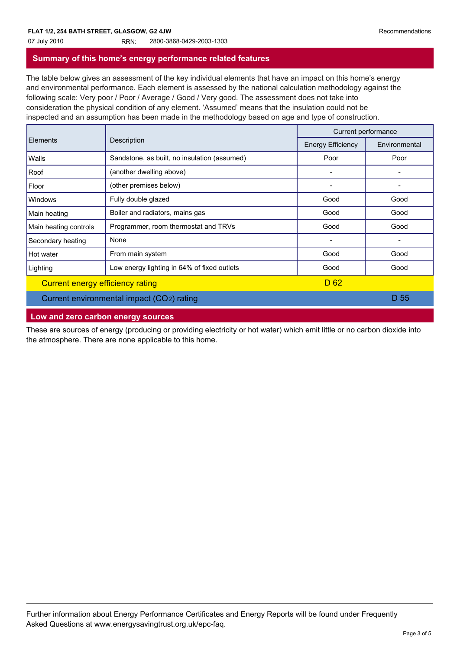07 July 2010 RRN: 2800-3868-0429-2003-1303

# **Summary of this home's energy performance related features**

The table below gives an assessment of the key individual elements that have an impact on this home's energy and environmental performance. Each element is assessed by the national calculation methodology against the following scale: Very poor / Poor / Average / Good / Very good. The assessment does not take into consideration the physical condition of any element. 'Assumed' means that the insulation could not be inspected and an assumption has been made in the methodology based on age and type of construction.

|                                           | Description                                  | Current performance      |               |
|-------------------------------------------|----------------------------------------------|--------------------------|---------------|
| <b>Elements</b>                           |                                              | <b>Energy Efficiency</b> | Environmental |
| Walls                                     | Sandstone, as built, no insulation (assumed) | Poor                     | Poor          |
| Roof                                      | (another dwelling above)                     | -                        |               |
| Floor                                     | (other premises below)                       | $\overline{\phantom{a}}$ |               |
| <b>Windows</b>                            | Fully double glazed                          | Good                     | Good          |
| Main heating                              | Boiler and radiators, mains gas              | Good                     | Good          |
| Main heating controls                     | Programmer, room thermostat and TRVs         | Good                     | Good          |
| Secondary heating                         | None                                         | $\overline{\phantom{a}}$ |               |
| Hot water                                 | From main system                             | Good                     | Good          |
| Lighting                                  | Low energy lighting in 64% of fixed outlets  | Good                     | Good          |
| Current energy efficiency rating          |                                              | D <sub>62</sub>          |               |
| Current environmental impact (CO2) rating |                                              |                          | D 55          |

## **Low and zero carbon energy sources**

These are sources of energy (producing or providing electricity or hot water) which emit little or no carbon dioxide into the atmosphere. There are none applicable to this home.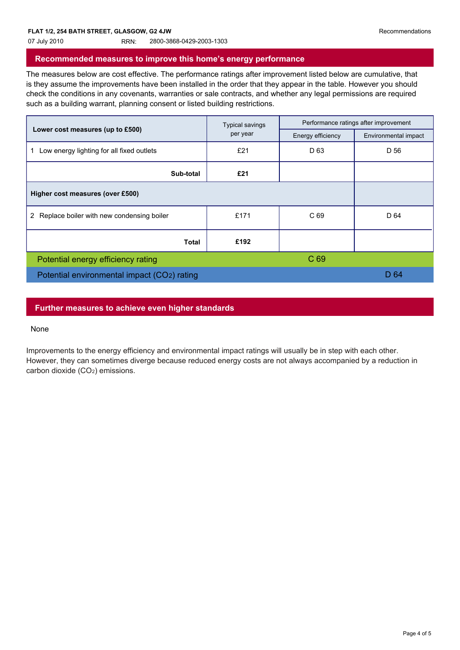07 July 2010 RRN: 2800-3868-0429-2003-1303

## **Recommended measures to improve this home's energy performance**

The measures below are cost effective. The performance ratings after improvement listed below are cumulative, that is they assume the improvements have been installed in the order that they appear in the table. However you should check the conditions in any covenants, warranties or sale contracts, and whether any legal permissions are required such as a building warrant, planning consent or listed building restrictions.

|                                             | <b>Typical savings</b><br>per year | Performance ratings after improvement |                      |
|---------------------------------------------|------------------------------------|---------------------------------------|----------------------|
| Lower cost measures (up to £500)            |                                    | Energy efficiency                     | Environmental impact |
| Low energy lighting for all fixed outlets   | £21                                | D <sub>63</sub>                       | D 56                 |
| Sub-total                                   | £21                                |                                       |                      |
| Higher cost measures (over £500)            |                                    |                                       |                      |
| 2 Replace boiler with new condensing boiler | £171                               | C 69                                  | D 64                 |
| <b>Total</b>                                | £192                               |                                       |                      |
| Potential energy efficiency rating          |                                    | C 69                                  |                      |
| Potential environmental impact (CO2) rating |                                    | D 64                                  |                      |
|                                             |                                    |                                       |                      |

#### **Further measures to achieve even higher standards**

#### None

Improvements to the energy efficiency and environmental impact ratings will usually be in step with each other. However, they can sometimes diverge because reduced energy costs are not always accompanied by a reduction in carbon dioxide (CO<sub>2</sub>) emissions.